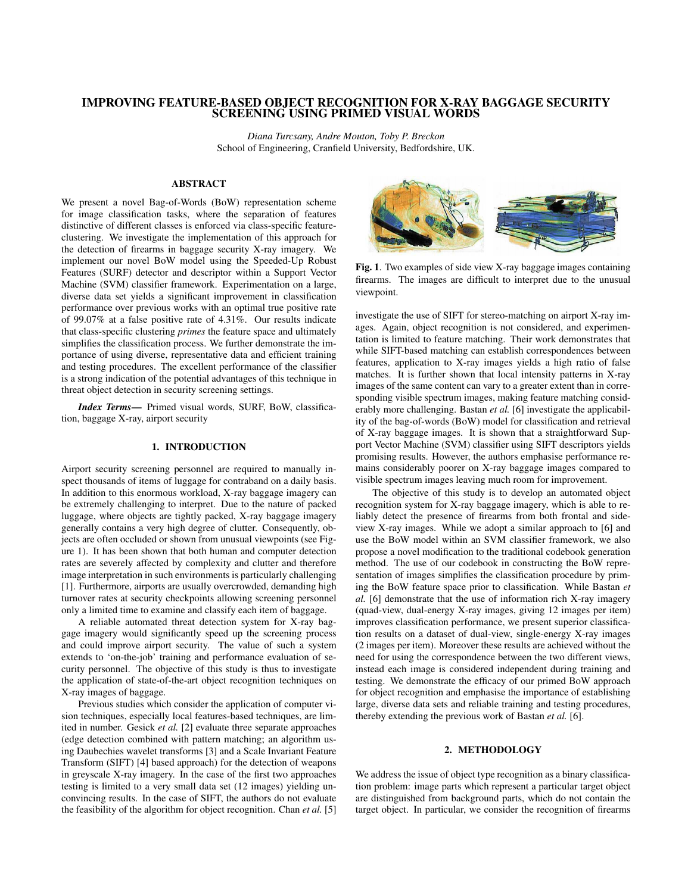# IMPROVING FEATURE-BASED OBJECT RECOGNITION FOR X-RAY BAGGAGE SECURITY SCREENING USING PRIMED VISUAL WORDS

*Diana Turcsany, Andre Mouton, Toby P. Breckon* School of Engineering, Cranfield University, Bedfordshire, UK.

# ABSTRACT

We present a novel Bag-of-Words (BoW) representation scheme for image classification tasks, where the separation of features distinctive of different classes is enforced via class-specific featureclustering. We investigate the implementation of this approach for the detection of firearms in baggage security X-ray imagery. We implement our novel BoW model using the Speeded-Up Robust Features (SURF) detector and descriptor within a Support Vector Machine (SVM) classifier framework. Experimentation on a large, diverse data set yields a significant improvement in classification performance over previous works with an optimal true positive rate of 99.07% at a false positive rate of 4.31%. Our results indicate that class-specific clustering *primes* the feature space and ultimately simplifies the classification process. We further demonstrate the importance of using diverse, representative data and efficient training and testing procedures. The excellent performance of the classifier is a strong indication of the potential advantages of this technique in threat object detection in security screening settings.

*Index Terms*— Primed visual words, SURF, BoW, classification, baggage X-ray, airport security

# 1. INTRODUCTION

Airport security screening personnel are required to manually inspect thousands of items of luggage for contraband on a daily basis. In addition to this enormous workload, X-ray baggage imagery can be extremely challenging to interpret. Due to the nature of packed luggage, where objects are tightly packed, X-ray baggage imagery generally contains a very high degree of clutter. Consequently, objects are often occluded or shown from unusual viewpoints (see Figure 1). It has been shown that both human and computer detection rates are severely affected by complexity and clutter and therefore image interpretation in such environments is particularly challenging [1]. Furthermore, airports are usually overcrowded, demanding high turnover rates at security checkpoints allowing screening personnel only a limited time to examine and classify each item of baggage.

A reliable automated threat detection system for X-ray baggage imagery would significantly speed up the screening process and could improve airport security. The value of such a system extends to 'on-the-job' training and performance evaluation of security personnel. The objective of this study is thus to investigate the application of state-of-the-art object recognition techniques on X-ray images of baggage.

Previous studies which consider the application of computer vision techniques, especially local features-based techniques, are limited in number. Gesick *et al.* [2] evaluate three separate approaches (edge detection combined with pattern matching; an algorithm using Daubechies wavelet transforms [3] and a Scale Invariant Feature Transform (SIFT) [4] based approach) for the detection of weapons in greyscale X-ray imagery. In the case of the first two approaches testing is limited to a very small data set (12 images) yielding unconvincing results. In the case of SIFT, the authors do not evaluate the feasibility of the algorithm for object recognition. Chan *et al.* [5]



Fig. 1. Two examples of side view X-ray baggage images containing firearms. The images are difficult to interpret due to the unusual viewpoint.

investigate the use of SIFT for stereo-matching on airport X-ray images. Again, object recognition is not considered, and experimentation is limited to feature matching. Their work demonstrates that while SIFT-based matching can establish correspondences between features, application to X-ray images yields a high ratio of false matches. It is further shown that local intensity patterns in X-ray images of the same content can vary to a greater extent than in corresponding visible spectrum images, making feature matching considerably more challenging. Bastan *et al.* [6] investigate the applicability of the bag-of-words (BoW) model for classification and retrieval of X-ray baggage images. It is shown that a straightforward Support Vector Machine (SVM) classifier using SIFT descriptors yields promising results. However, the authors emphasise performance remains considerably poorer on X-ray baggage images compared to visible spectrum images leaving much room for improvement.

The objective of this study is to develop an automated object recognition system for X-ray baggage imagery, which is able to reliably detect the presence of firearms from both frontal and sideview X-ray images. While we adopt a similar approach to [6] and use the BoW model within an SVM classifier framework, we also propose a novel modification to the traditional codebook generation method. The use of our codebook in constructing the BoW representation of images simplifies the classification procedure by priming the BoW feature space prior to classification. While Bastan *et al.* [6] demonstrate that the use of information rich X-ray imagery (quad-view, dual-energy X-ray images, giving 12 images per item) improves classification performance, we present superior classification results on a dataset of dual-view, single-energy X-ray images (2 images per item). Moreover these results are achieved without the need for using the correspondence between the two different views, instead each image is considered independent during training and testing. We demonstrate the efficacy of our primed BoW approach for object recognition and emphasise the importance of establishing large, diverse data sets and reliable training and testing procedures, thereby extending the previous work of Bastan *et al.* [6].

# 2. METHODOLOGY

We address the issue of object type recognition as a binary classification problem: image parts which represent a particular target object are distinguished from background parts, which do not contain the target object. In particular, we consider the recognition of firearms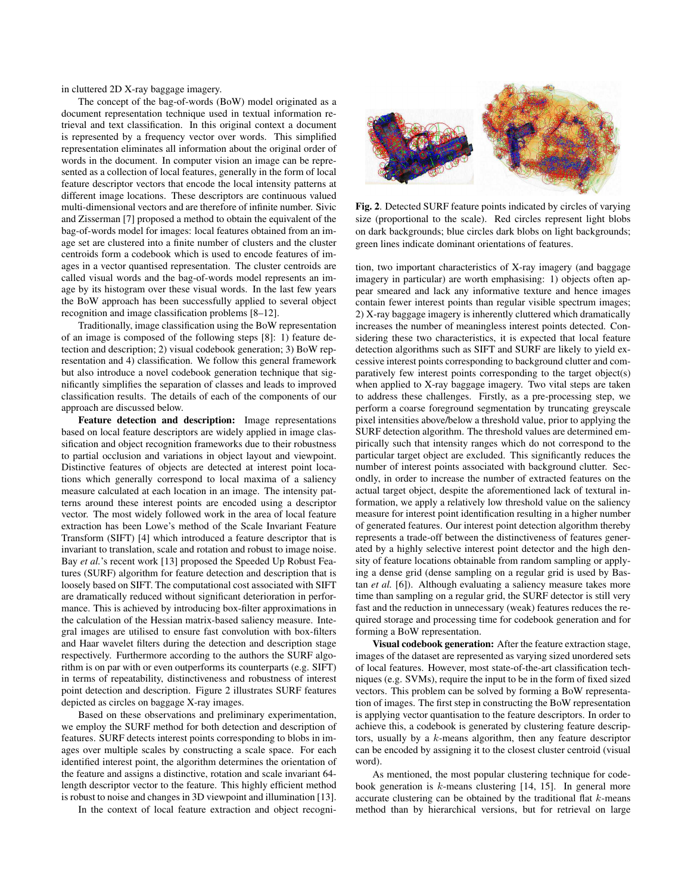in cluttered 2D X-ray baggage imagery.

The concept of the bag-of-words (BoW) model originated as a document representation technique used in textual information retrieval and text classification. In this original context a document is represented by a frequency vector over words. This simplified representation eliminates all information about the original order of words in the document. In computer vision an image can be represented as a collection of local features, generally in the form of local feature descriptor vectors that encode the local intensity patterns at different image locations. These descriptors are continuous valued multi-dimensional vectors and are therefore of infinite number. Sivic and Zisserman [7] proposed a method to obtain the equivalent of the bag-of-words model for images: local features obtained from an image set are clustered into a finite number of clusters and the cluster centroids form a codebook which is used to encode features of images in a vector quantised representation. The cluster centroids are called visual words and the bag-of-words model represents an image by its histogram over these visual words. In the last few years the BoW approach has been successfully applied to several object recognition and image classification problems [8–12].

Traditionally, image classification using the BoW representation of an image is composed of the following steps [8]: 1) feature detection and description; 2) visual codebook generation; 3) BoW representation and 4) classification. We follow this general framework but also introduce a novel codebook generation technique that significantly simplifies the separation of classes and leads to improved classification results. The details of each of the components of our approach are discussed below.

Feature detection and description: Image representations based on local feature descriptors are widely applied in image classification and object recognition frameworks due to their robustness to partial occlusion and variations in object layout and viewpoint. Distinctive features of objects are detected at interest point locations which generally correspond to local maxima of a saliency measure calculated at each location in an image. The intensity patterns around these interest points are encoded using a descriptor vector. The most widely followed work in the area of local feature extraction has been Lowe's method of the Scale Invariant Feature Transform (SIFT) [4] which introduced a feature descriptor that is invariant to translation, scale and rotation and robust to image noise. Bay *et al.*'s recent work [13] proposed the Speeded Up Robust Features (SURF) algorithm for feature detection and description that is loosely based on SIFT. The computational cost associated with SIFT are dramatically reduced without significant deterioration in performance. This is achieved by introducing box-filter approximations in the calculation of the Hessian matrix-based saliency measure. Integral images are utilised to ensure fast convolution with box-filters and Haar wavelet filters during the detection and description stage respectively. Furthermore according to the authors the SURF algorithm is on par with or even outperforms its counterparts (e.g. SIFT) in terms of repeatability, distinctiveness and robustness of interest point detection and description. Figure 2 illustrates SURF features depicted as circles on baggage X-ray images.

Based on these observations and preliminary experimentation, we employ the SURF method for both detection and description of features. SURF detects interest points corresponding to blobs in images over multiple scales by constructing a scale space. For each identified interest point, the algorithm determines the orientation of the feature and assigns a distinctive, rotation and scale invariant 64 length descriptor vector to the feature. This highly efficient method is robust to noise and changes in 3D viewpoint and illumination [13].

In the context of local feature extraction and object recogni-



Fig. 2. Detected SURF feature points indicated by circles of varying size (proportional to the scale). Red circles represent light blobs on dark backgrounds; blue circles dark blobs on light backgrounds; green lines indicate dominant orientations of features.

tion, two important characteristics of X-ray imagery (and baggage imagery in particular) are worth emphasising: 1) objects often appear smeared and lack any informative texture and hence images contain fewer interest points than regular visible spectrum images; 2) X-ray baggage imagery is inherently cluttered which dramatically increases the number of meaningless interest points detected. Considering these two characteristics, it is expected that local feature detection algorithms such as SIFT and SURF are likely to yield excessive interest points corresponding to background clutter and comparatively few interest points corresponding to the target object(s) when applied to X-ray baggage imagery. Two vital steps are taken to address these challenges. Firstly, as a pre-processing step, we perform a coarse foreground segmentation by truncating greyscale pixel intensities above/below a threshold value, prior to applying the SURF detection algorithm. The threshold values are determined empirically such that intensity ranges which do not correspond to the particular target object are excluded. This significantly reduces the number of interest points associated with background clutter. Secondly, in order to increase the number of extracted features on the actual target object, despite the aforementioned lack of textural information, we apply a relatively low threshold value on the saliency measure for interest point identification resulting in a higher number of generated features. Our interest point detection algorithm thereby represents a trade-off between the distinctiveness of features generated by a highly selective interest point detector and the high density of feature locations obtainable from random sampling or applying a dense grid (dense sampling on a regular grid is used by Bastan *et al.* [6]). Although evaluating a saliency measure takes more time than sampling on a regular grid, the SURF detector is still very fast and the reduction in unnecessary (weak) features reduces the required storage and processing time for codebook generation and for forming a BoW representation.

Visual codebook generation: After the feature extraction stage, images of the dataset are represented as varying sized unordered sets of local features. However, most state-of-the-art classification techniques (e.g. SVMs), require the input to be in the form of fixed sized vectors. This problem can be solved by forming a BoW representation of images. The first step in constructing the BoW representation is applying vector quantisation to the feature descriptors. In order to achieve this, a codebook is generated by clustering feature descriptors, usually by a k-means algorithm, then any feature descriptor can be encoded by assigning it to the closest cluster centroid (visual word).

As mentioned, the most popular clustering technique for codebook generation is  $k$ -means clustering [14, 15]. In general more accurate clustering can be obtained by the traditional flat k-means method than by hierarchical versions, but for retrieval on large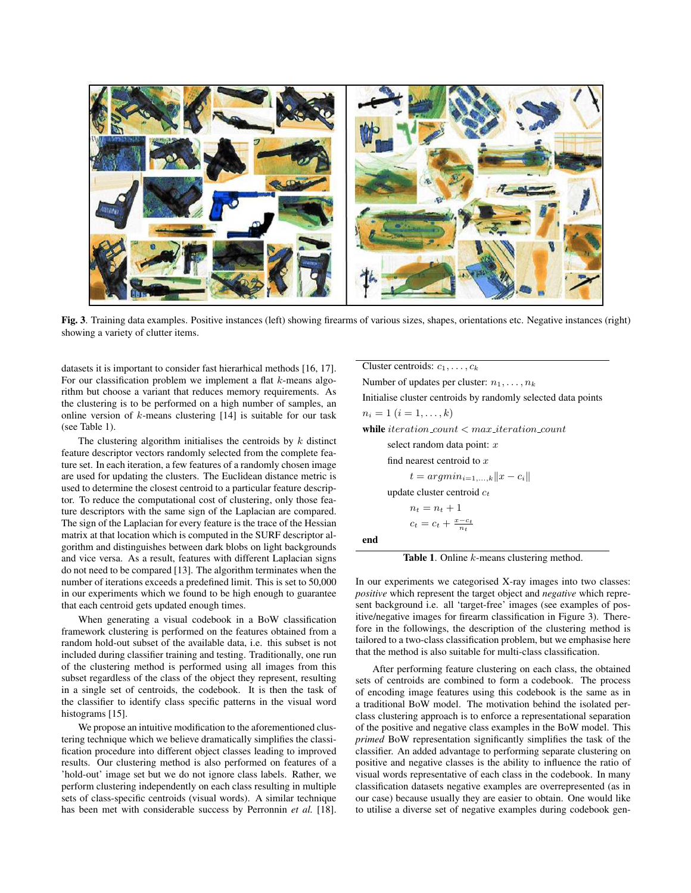

Fig. 3. Training data examples. Positive instances (left) showing firearms of various sizes, shapes, orientations etc. Negative instances (right) showing a variety of clutter items.

datasets it is important to consider fast hierarhical methods [16, 17]. For our classification problem we implement a flat k-means algorithm but choose a variant that reduces memory requirements. As the clustering is to be performed on a high number of samples, an online version of  $k$ -means clustering  $[14]$  is suitable for our task (see Table 1).

The clustering algorithm initialises the centroids by  $k$  distinct feature descriptor vectors randomly selected from the complete feature set. In each iteration, a few features of a randomly chosen image are used for updating the clusters. The Euclidean distance metric is used to determine the closest centroid to a particular feature descriptor. To reduce the computational cost of clustering, only those feature descriptors with the same sign of the Laplacian are compared. The sign of the Laplacian for every feature is the trace of the Hessian matrix at that location which is computed in the SURF descriptor algorithm and distinguishes between dark blobs on light backgrounds and vice versa. As a result, features with different Laplacian signs do not need to be compared [13]. The algorithm terminates when the number of iterations exceeds a predefined limit. This is set to 50,000 in our experiments which we found to be high enough to guarantee that each centroid gets updated enough times.

When generating a visual codebook in a BoW classification framework clustering is performed on the features obtained from a random hold-out subset of the available data, i.e. this subset is not included during classifier training and testing. Traditionally, one run of the clustering method is performed using all images from this subset regardless of the class of the object they represent, resulting in a single set of centroids, the codebook. It is then the task of the classifier to identify class specific patterns in the visual word histograms [15].

We propose an intuitive modification to the aforementioned clustering technique which we believe dramatically simplifies the classification procedure into different object classes leading to improved results. Our clustering method is also performed on features of a 'hold-out' image set but we do not ignore class labels. Rather, we perform clustering independently on each class resulting in multiple sets of class-specific centroids (visual words). A similar technique has been met with considerable success by Perronnin *et al.* [18].

Cluster centroids:  $c_1, \ldots, c_k$ Number of updates per cluster:  $n_1, \ldots, n_k$ Initialise cluster centroids by randomly selected data points  $n_i = 1$   $(i = 1, \ldots, k)$ while iteration\_count  $\langle$  max\_iteration\_count select random data point: x find nearest centroid to  $x$  $t = argmin_{i=1,...,k} ||x - c_i||$ update cluster centroid  $c_t$  $n_t = n_t + 1$  $c_t = c_t + \frac{x - c_t}{n_t}$ end

Table 1. Online k-means clustering method.

In our experiments we categorised X-ray images into two classes: *positive* which represent the target object and *negative* which represent background i.e. all 'target-free' images (see examples of positive/negative images for firearm classification in Figure 3). Therefore in the followings, the description of the clustering method is tailored to a two-class classification problem, but we emphasise here that the method is also suitable for multi-class classification.

After performing feature clustering on each class, the obtained sets of centroids are combined to form a codebook. The process of encoding image features using this codebook is the same as in a traditional BoW model. The motivation behind the isolated perclass clustering approach is to enforce a representational separation of the positive and negative class examples in the BoW model. This *primed* BoW representation significantly simplifies the task of the classifier. An added advantage to performing separate clustering on positive and negative classes is the ability to influence the ratio of visual words representative of each class in the codebook. In many classification datasets negative examples are overrepresented (as in our case) because usually they are easier to obtain. One would like to utilise a diverse set of negative examples during codebook gen-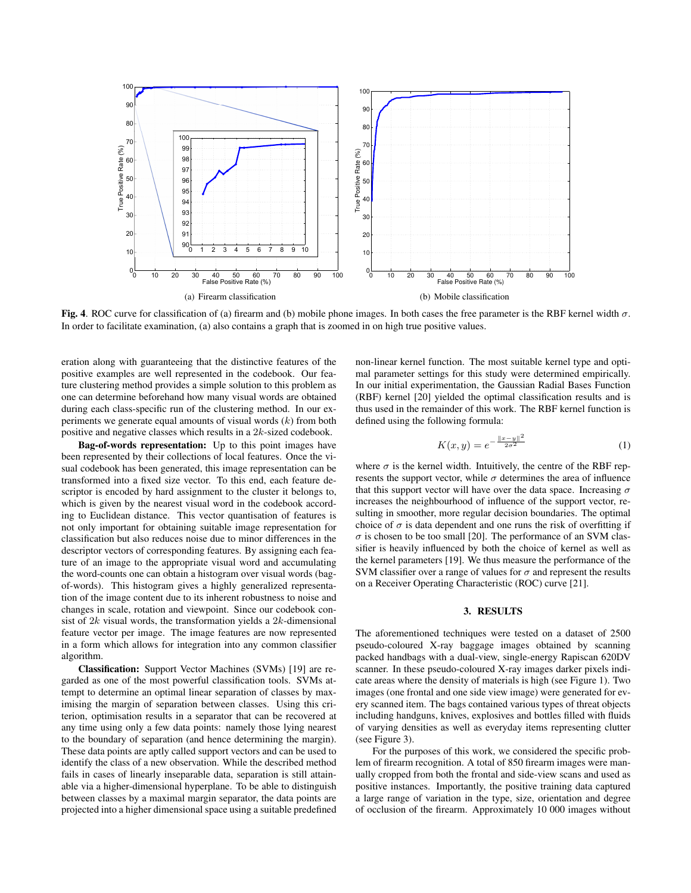

Fig. 4. ROC curve for classification of (a) firearm and (b) mobile phone images. In both cases the free parameter is the RBF kernel width  $\sigma$ . In order to facilitate examination, (a) also contains a graph that is zoomed in on high true positive values.

eration along with guaranteeing that the distinctive features of the positive examples are well represented in the codebook. Our feature clustering method provides a simple solution to this problem as one can determine beforehand how many visual words are obtained during each class-specific run of the clustering method. In our experiments we generate equal amounts of visual words  $(k)$  from both positive and negative classes which results in a 2k-sized codebook.

Bag-of-words representation: Up to this point images have been represented by their collections of local features. Once the visual codebook has been generated, this image representation can be transformed into a fixed size vector. To this end, each feature descriptor is encoded by hard assignment to the cluster it belongs to, which is given by the nearest visual word in the codebook according to Euclidean distance. This vector quantisation of features is not only important for obtaining suitable image representation for classification but also reduces noise due to minor differences in the descriptor vectors of corresponding features. By assigning each feature of an image to the appropriate visual word and accumulating the word-counts one can obtain a histogram over visual words (bagof-words). This histogram gives a highly generalized representation of the image content due to its inherent robustness to noise and changes in scale, rotation and viewpoint. Since our codebook consist of  $2k$  visual words, the transformation yields a  $2k$ -dimensional feature vector per image. The image features are now represented in a form which allows for integration into any common classifier algorithm.

Classification: Support Vector Machines (SVMs) [19] are regarded as one of the most powerful classification tools. SVMs attempt to determine an optimal linear separation of classes by maximising the margin of separation between classes. Using this criterion, optimisation results in a separator that can be recovered at any time using only a few data points: namely those lying nearest to the boundary of separation (and hence determining the margin). These data points are aptly called support vectors and can be used to identify the class of a new observation. While the described method fails in cases of linearly inseparable data, separation is still attainable via a higher-dimensional hyperplane. To be able to distinguish between classes by a maximal margin separator, the data points are projected into a higher dimensional space using a suitable predefined

non-linear kernel function. The most suitable kernel type and optimal parameter settings for this study were determined empirically. In our initial experimentation, the Gaussian Radial Bases Function (RBF) kernel [20] yielded the optimal classification results and is thus used in the remainder of this work. The RBF kernel function is defined using the following formula:

$$
K(x, y) = e^{-\frac{\|x - y\|^2}{2\sigma^2}}
$$
 (1)

where  $\sigma$  is the kernel width. Intuitively, the centre of the RBF represents the support vector, while  $\sigma$  determines the area of influence that this support vector will have over the data space. Increasing  $\sigma$ increases the neighbourhood of influence of the support vector, resulting in smoother, more regular decision boundaries. The optimal choice of  $\sigma$  is data dependent and one runs the risk of overfitting if  $\sigma$  is chosen to be too small [20]. The performance of an SVM classifier is heavily influenced by both the choice of kernel as well as the kernel parameters [19]. We thus measure the performance of the SVM classifier over a range of values for  $\sigma$  and represent the results on a Receiver Operating Characteristic (ROC) curve [21].

#### 3. RESULTS

The aforementioned techniques were tested on a dataset of 2500 pseudo-coloured X-ray baggage images obtained by scanning packed handbags with a dual-view, single-energy Rapiscan 620DV scanner. In these pseudo-coloured X-ray images darker pixels indicate areas where the density of materials is high (see Figure 1). Two images (one frontal and one side view image) were generated for every scanned item. The bags contained various types of threat objects including handguns, knives, explosives and bottles filled with fluids of varying densities as well as everyday items representing clutter (see Figure 3).

For the purposes of this work, we considered the specific problem of firearm recognition. A total of 850 firearm images were manually cropped from both the frontal and side-view scans and used as positive instances. Importantly, the positive training data captured a large range of variation in the type, size, orientation and degree of occlusion of the firearm. Approximately 10 000 images without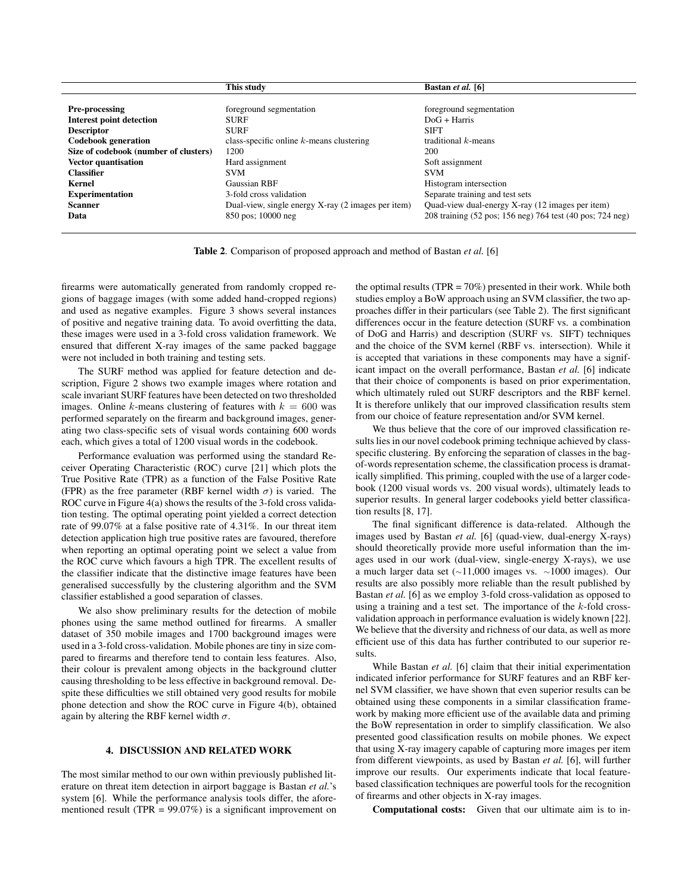|                                       | This study                                         | Bastan et al. [6]                                         |
|---------------------------------------|----------------------------------------------------|-----------------------------------------------------------|
|                                       |                                                    |                                                           |
| <b>Pre-processing</b>                 | foreground segmentation                            | foreground segmentation                                   |
| Interest point detection              | <b>SURF</b>                                        | $DoG + Harris$                                            |
| <b>Descriptor</b>                     | <b>SURF</b>                                        | <b>SIFT</b>                                               |
| <b>Codebook generation</b>            | class-specific online $k$ -means clustering        | traditional $k$ -means                                    |
| Size of codebook (number of clusters) | 1200                                               | 200                                                       |
| Vector quantisation                   | Hard assignment                                    | Soft assignment                                           |
| <b>Classifier</b>                     | <b>SVM</b>                                         | <b>SVM</b>                                                |
| Kernel                                | <b>Gaussian RBF</b>                                | Histogram intersection                                    |
| <b>Experimentation</b>                | 3-fold cross validation                            | Separate training and test sets                           |
| <b>Scanner</b>                        | Dual-view, single energy X-ray (2 images per item) | Quad-view dual-energy X-ray (12 images per item)          |
| Data                                  | 850 pos; 10000 neg                                 | 208 training (52 pos; 156 neg) 764 test (40 pos; 724 neg) |
|                                       |                                                    |                                                           |

Table 2. Comparison of proposed approach and method of Bastan *et al.* [6]

firearms were automatically generated from randomly cropped regions of baggage images (with some added hand-cropped regions) and used as negative examples. Figure 3 shows several instances of positive and negative training data. To avoid overfitting the data, these images were used in a 3-fold cross validation framework. We ensured that different X-ray images of the same packed baggage were not included in both training and testing sets.

The SURF method was applied for feature detection and description, Figure 2 shows two example images where rotation and scale invariant SURF features have been detected on two thresholded images. Online k-means clustering of features with  $k = 600$  was performed separately on the firearm and background images, generating two class-specific sets of visual words containing 600 words each, which gives a total of 1200 visual words in the codebook.

Performance evaluation was performed using the standard Receiver Operating Characteristic (ROC) curve [21] which plots the True Positive Rate (TPR) as a function of the False Positive Rate (FPR) as the free parameter (RBF kernel width  $\sigma$ ) is varied. The ROC curve in Figure 4(a) shows the results of the 3-fold cross validation testing. The optimal operating point yielded a correct detection rate of 99.07% at a false positive rate of 4.31%. In our threat item detection application high true positive rates are favoured, therefore when reporting an optimal operating point we select a value from the ROC curve which favours a high TPR. The excellent results of the classifier indicate that the distinctive image features have been generalised successfully by the clustering algorithm and the SVM classifier established a good separation of classes.

We also show preliminary results for the detection of mobile phones using the same method outlined for firearms. A smaller dataset of 350 mobile images and 1700 background images were used in a 3-fold cross-validation. Mobile phones are tiny in size compared to firearms and therefore tend to contain less features. Also, their colour is prevalent among objects in the background clutter causing thresholding to be less effective in background removal. Despite these difficulties we still obtained very good results for mobile phone detection and show the ROC curve in Figure 4(b), obtained again by altering the RBF kernel width  $\sigma$ .

# 4. DISCUSSION AND RELATED WORK

The most similar method to our own within previously published literature on threat item detection in airport baggage is Bastan *et al.*'s system [6]. While the performance analysis tools differ, the aforementioned result (TPR =  $99.07\%$ ) is a significant improvement on the optimal results (TPR =  $70\%$ ) presented in their work. While both studies employ a BoW approach using an SVM classifier, the two approaches differ in their particulars (see Table 2). The first significant differences occur in the feature detection (SURF vs. a combination of DoG and Harris) and description (SURF vs. SIFT) techniques and the choice of the SVM kernel (RBF vs. intersection). While it is accepted that variations in these components may have a significant impact on the overall performance, Bastan *et al.* [6] indicate that their choice of components is based on prior experimentation, which ultimately ruled out SURF descriptors and the RBF kernel. It is therefore unlikely that our improved classification results stem from our choice of feature representation and/or SVM kernel.

We thus believe that the core of our improved classification results lies in our novel codebook priming technique achieved by classspecific clustering. By enforcing the separation of classes in the bagof-words representation scheme, the classification process is dramatically simplified. This priming, coupled with the use of a larger codebook (1200 visual words vs. 200 visual words), ultimately leads to superior results. In general larger codebooks yield better classification results [8, 17].

The final significant difference is data-related. Although the images used by Bastan *et al.* [6] (quad-view, dual-energy X-rays) should theoretically provide more useful information than the images used in our work (dual-view, single-energy X-rays), we use a much larger data set (∼11,000 images vs. <sup>∼</sup>1000 images). Our results are also possibly more reliable than the result published by Bastan *et al.* [6] as we employ 3-fold cross-validation as opposed to using a training and a test set. The importance of the k-fold crossvalidation approach in performance evaluation is widely known [22]. We believe that the diversity and richness of our data, as well as more efficient use of this data has further contributed to our superior results.

While Bastan *et al.* [6] claim that their initial experimentation indicated inferior performance for SURF features and an RBF kernel SVM classifier, we have shown that even superior results can be obtained using these components in a similar classification framework by making more efficient use of the available data and priming the BoW representation in order to simplify classification. We also presented good classification results on mobile phones. We expect that using X-ray imagery capable of capturing more images per item from different viewpoints, as used by Bastan *et al.* [6], will further improve our results. Our experiments indicate that local featurebased classification techniques are powerful tools for the recognition of firearms and other objects in X-ray images.

Computational costs: Given that our ultimate aim is to in-